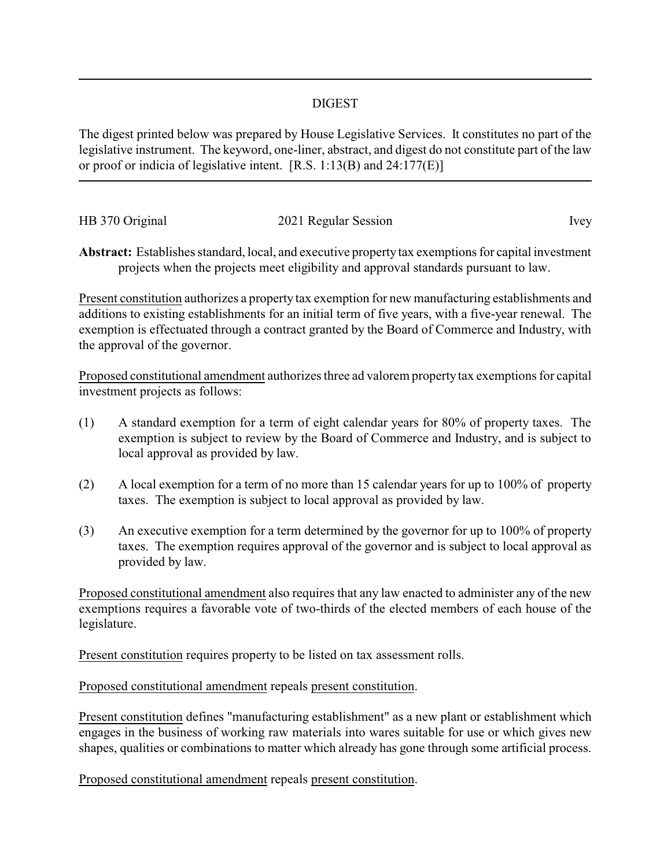## DIGEST

The digest printed below was prepared by House Legislative Services. It constitutes no part of the legislative instrument. The keyword, one-liner, abstract, and digest do not constitute part of the law or proof or indicia of legislative intent. [R.S. 1:13(B) and 24:177(E)]

| HB 370 Original | 2021 Regular Session | Ivev |
|-----------------|----------------------|------|

**Abstract:** Establishes standard, local, and executive propertytax exemptions for capital investment projects when the projects meet eligibility and approval standards pursuant to law.

Present constitution authorizes a property tax exemption for new manufacturing establishments and additions to existing establishments for an initial term of five years, with a five-year renewal. The exemption is effectuated through a contract granted by the Board of Commerce and Industry, with the approval of the governor.

Proposed constitutional amendment authorizes three ad valorem propertytax exemptions for capital investment projects as follows:

- (1) A standard exemption for a term of eight calendar years for 80% of property taxes. The exemption is subject to review by the Board of Commerce and Industry, and is subject to local approval as provided by law.
- (2) A local exemption for a term of no more than 15 calendar years for up to 100% of property taxes. The exemption is subject to local approval as provided by law.
- (3) An executive exemption for a term determined by the governor for up to 100% of property taxes. The exemption requires approval of the governor and is subject to local approval as provided by law.

Proposed constitutional amendment also requires that any law enacted to administer any of the new exemptions requires a favorable vote of two-thirds of the elected members of each house of the legislature.

Present constitution requires property to be listed on tax assessment rolls.

Proposed constitutional amendment repeals present constitution.

Present constitution defines "manufacturing establishment" as a new plant or establishment which engages in the business of working raw materials into wares suitable for use or which gives new shapes, qualities or combinations to matter which already has gone through some artificial process.

Proposed constitutional amendment repeals present constitution.